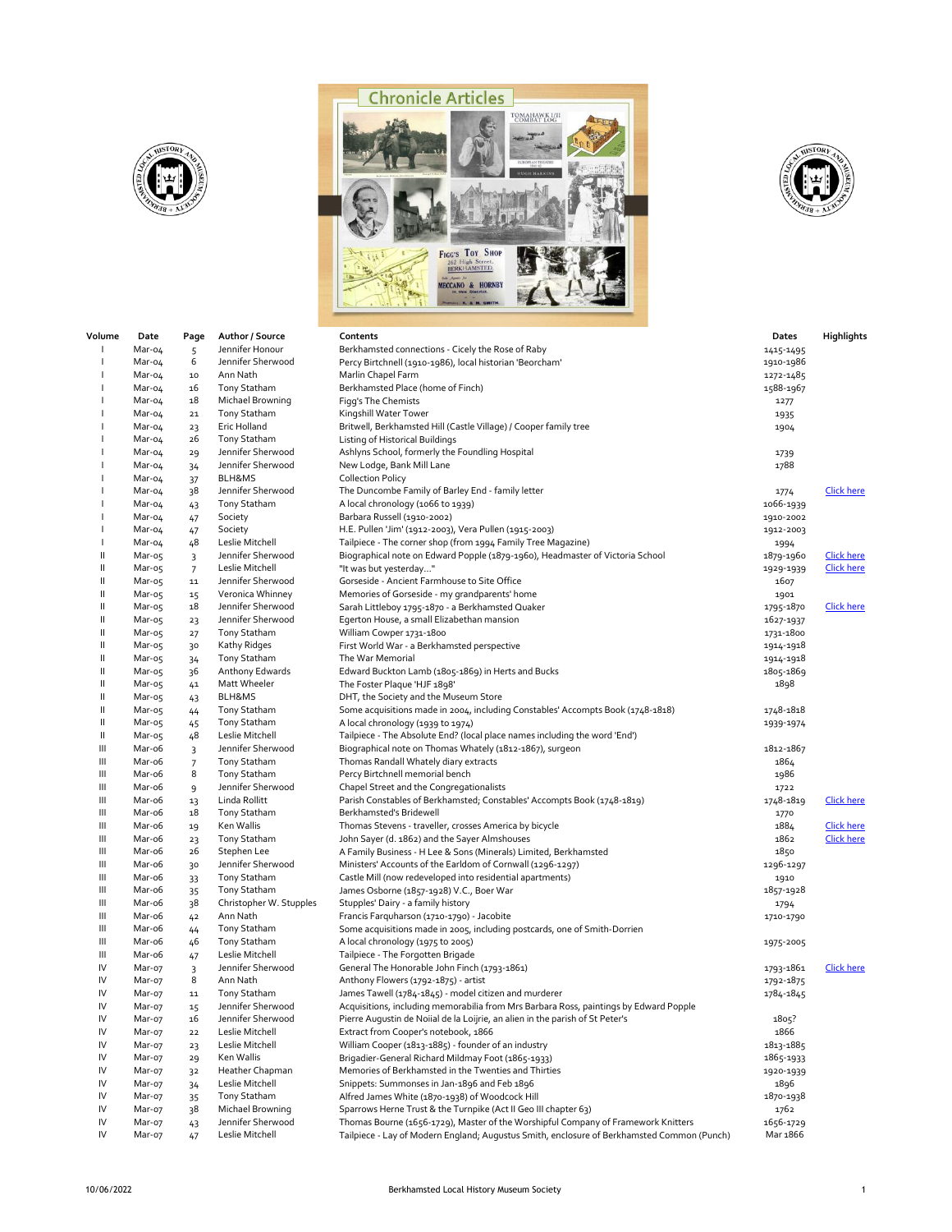





| Volume   | Date             | Page            | Author / Source                      | Contents                                                                                                               | Dates             | Highlights        |
|----------|------------------|-----------------|--------------------------------------|------------------------------------------------------------------------------------------------------------------------|-------------------|-------------------|
|          | Mar-04           | 5               | Jennifer Honour                      | Berkhamsted connections - Cicely the Rose of Raby                                                                      | 1415-1495         |                   |
|          | Mar-04           | 6               | Jennifer Sherwood                    | Percy Birtchnell (1910-1986), local historian 'Beorcham'                                                               | 1910-1986         |                   |
|          | Mar-04           | 10              | Ann Nath                             | Marlin Chapel Farm                                                                                                     | 1272-1485         |                   |
|          | Mar-04           | 16              | <b>Tony Statham</b>                  | Berkhamsted Place (home of Finch)                                                                                      | 1588-1967         |                   |
|          | Mar-04           | 18              | Michael Browning                     | Figg's The Chemists                                                                                                    | 1277              |                   |
|          | Mar-04           | ${\bf 21}$      | <b>Tony Statham</b>                  | Kingshill Water Tower                                                                                                  | 1935              |                   |
|          | Mar-04           | 23              | Eric Holland                         | Britwell, Berkhamsted Hill (Castle Village) / Cooper family tree                                                       | 1904              |                   |
|          | Mar-04           | 26              | <b>Tony Statham</b>                  | Listing of Historical Buildings                                                                                        |                   |                   |
|          | Mar-04           | 29              | Jennifer Sherwood                    | Ashlyns School, formerly the Foundling Hospital                                                                        | 1739              |                   |
|          | Mar-04           | 34              | Jennifer Sherwood                    | New Lodge, Bank Mill Lane                                                                                              | 1788              |                   |
|          | Mar-04           | 37              | BLH&MS                               | <b>Collection Policy</b>                                                                                               |                   |                   |
|          | Mar-04           | 38              | Jennifer Sherwood                    | The Duncombe Family of Barley End - family letter                                                                      | 1774              | <b>Click here</b> |
|          | Mar-04           | 43              | Tony Statham                         | A local chronology (1066 to 1939)                                                                                      | 1066-1939         |                   |
|          | Mar-04<br>Mar-04 | 47              | Society<br>Society                   | Barbara Russell (1910-2002)                                                                                            | 1910-2002         |                   |
|          | Mar-04           | 47<br>48        | Leslie Mitchell                      | H.E. Pullen 'Jim' (1912-2003), Vera Pullen (1915-2003)<br>Tailpiece - The corner shop (from 1994 Family Tree Magazine) | 1912-2003         |                   |
| Ш        | Mar-05           | $\overline{3}$  | Jennifer Sherwood                    | Biographical note on Edward Popple (1879-1960), Headmaster of Victoria School                                          | 1994<br>1879-1960 | <b>Click here</b> |
| Ш        | Mar-05           | $\overline{7}$  | Leslie Mitchell                      | "It was but yesterday"                                                                                                 | 1929-1939         | <b>Click here</b> |
| Ш        | Mar-05           | ${\bf 11}$      | Jennifer Sherwood                    | Gorseside - Ancient Farmhouse to Site Office                                                                           | 1607              |                   |
| Ш        | Mar-05           | 15              | Veronica Whinney                     | Memories of Gorseside - my grandparents' home                                                                          | 1901              |                   |
| Ш        | Mar-05           | 18              | Jennifer Sherwood                    | Sarah Littleboy 1795-1870 - a Berkhamsted Quaker                                                                       | 1795-1870         | <b>Click here</b> |
| Ш        | Mar-05           | 23              | Jennifer Sherwood                    | Egerton House, a small Elizabethan mansion                                                                             | 1627-1937         |                   |
| Ш        | Mar-05           | 27              | <b>Tony Statham</b>                  | William Cowper 1731-1800                                                                                               | 1731-1800         |                   |
| Ш        | Mar-05           | 30              | Kathy Ridges                         | First World War - a Berkhamsted perspective                                                                            | 1914-1918         |                   |
| Ш        | Mar-05           | 34              | Tony Statham                         | The War Memorial                                                                                                       | 1914-1918         |                   |
| Ш        | Mar-05           | 36              | Anthony Edwards                      | Edward Buckton Lamb (1805-1869) in Herts and Bucks                                                                     | 1805-1869         |                   |
| Ш        | Mar-05           | 41              | Matt Wheeler                         | The Foster Plaque 'HJF 1898'                                                                                           | 1898              |                   |
| Ш        | Mar-05           | 43              | BLH&MS                               | DHT, the Society and the Museum Store                                                                                  |                   |                   |
| Ш        | Mar-o5           | 44              | <b>Tony Statham</b>                  | Some acquisitions made in 2004, including Constables' Accompts Book (1748-1818)                                        | 1748-1818         |                   |
| Ш        | Mar-05           | 45              | <b>Tony Statham</b>                  | A local chronology (1939 to 1974)                                                                                      | 1939-1974         |                   |
| Ш        | Mar-05           | 48              | Leslie Mitchell                      | Tailpiece - The Absolute End? (local place names including the word 'End')                                             |                   |                   |
| Ш        | Mar-o6           | 3               | Jennifer Sherwood                    | Biographical note on Thomas Whately (1812-1867), surgeon                                                               | 1812-1867         |                   |
| Ш        | Mar-o6           | $7\overline{ }$ | <b>Tony Statham</b>                  | Thomas Randall Whately diary extracts                                                                                  | 1864              |                   |
| Ш<br>Ш   | Mar-o6           | 8               | <b>Tony Statham</b>                  | Percy Birtchnell memorial bench                                                                                        | 1986              |                   |
| Ш        | Mar-o6<br>Mar-o6 | 9<br>13         | Jennifer Sherwood<br>Linda Rollitt   | Chapel Street and the Congregationalists<br>Parish Constables of Berkhamsted; Constables' Accompts Book (1748-1819)    | 1722<br>1748-1819 | Click here        |
| Ш        | Mar-o6           | 18              | <b>Tony Statham</b>                  | Berkhamsted's Bridewell                                                                                                | 1770              |                   |
| Ш        | Mar-o6           | 19              | Ken Wallis                           | Thomas Stevens - traveller, crosses America by bicycle                                                                 | 1884              | <b>Click here</b> |
| Ш        | Mar-o6           | 23              | <b>Tony Statham</b>                  | John Sayer (d. 1862) and the Sayer Almshouses                                                                          | 1862              | <b>Click here</b> |
| Ш        | Mar-o6           | 26              | Stephen Lee                          | A Family Business - H Lee & Sons (Minerals) Limited, Berkhamsted                                                       | 1850              |                   |
| Ш        | Mar-o6           | 30              | Jennifer Sherwood                    | Ministers' Accounts of the Earldom of Cornwall (1296-1297)                                                             | 1296-1297         |                   |
| Ш        | Mar-o6           | 33              | <b>Tony Statham</b>                  | Castle Mill (now redeveloped into residential apartments)                                                              | 1910              |                   |
| Ш        | Mar-o6           | 35              | <b>Tony Statham</b>                  | James Osborne (1857-1928) V.C., Boer War                                                                               | 1857-1928         |                   |
| Ш        | Mar-o6           | 38              | Christopher W. Stupples              | Stupples' Dairy - a family history                                                                                     | 1794              |                   |
| Ш        | Mar-o6           | 42              | Ann Nath                             | Francis Farquharson (1710-1790) - Jacobite                                                                             | 1710-1790         |                   |
| Ш        | Mar-o6           | 44              | Tony Statham                         | Some acquisitions made in 2005, including postcards, one of Smith-Dorrien                                              |                   |                   |
| Ш        | Mar-o6           | 46              | Tony Statham                         | A local chronology (1975 to 2005)                                                                                      | 1975-2005         |                   |
| Ш        | Mar-o6           | 47              | Leslie Mitchell                      | Tailpiece - The Forgotten Brigade                                                                                      |                   |                   |
| IV       | Mar-07           | 3               | Jennifer Sherwood                    | General The Honorable John Finch (1793-1861)                                                                           | 1793-1861         | <b>Click here</b> |
| IV       | Mar-07           | 8               | Ann Nath                             | Anthony Flowers (1792-1875) - artist                                                                                   | 1792-1875         |                   |
| IV       | Mar-07           | ${\bf 11}$      | <b>Tony Statham</b>                  | James Tawell (1784-1845) - model citizen and murderer                                                                  | 1784-1845         |                   |
| IV<br>IV | Mar-07           | 15              | Jennifer Sherwood                    | Acquisitions, including memorabilia from Mrs Barbara Ross, paintings by Edward Popple                                  |                   |                   |
| IV       | Mar-07<br>Mar-07 | 16<br>22        | Jennifer Sherwood<br>Leslie Mitchell | Pierre Augustin de Noiial de la Loijrie, an alien in the parish of St Peter's<br>Extract from Cooper's notebook, 1866  | 1805?<br>1866     |                   |
| IV       | Mar-07           | 23              | Leslie Mitchell                      | William Cooper (1813-1885) - founder of an industry                                                                    | 1813-1885         |                   |
| IV       | Mar-07           | 29              | Ken Wallis                           | Brigadier-General Richard Mildmay Foot (1865-1933)                                                                     | 1865-1933         |                   |
| IV       | Mar-07           | 32              | Heather Chapman                      | Memories of Berkhamsted in the Twenties and Thirties                                                                   | 1920-1939         |                   |
| IV       | Mar-07           | 34              | Leslie Mitchell                      | Snippets: Summonses in Jan-1896 and Feb 1896                                                                           | 1896              |                   |
| IV       | Mar-07           | 35              | Tony Statham                         | Alfred James White (1870-1938) of Woodcock Hill                                                                        | 1870-1938         |                   |
| IV       | Mar-07           | 38              | Michael Browning                     | Sparrows Herne Trust & the Turnpike (Act II Geo III chapter 63)                                                        | 1762              |                   |
| IV       | Mar-07           | 43              | Jennifer Sherwood                    | Thomas Bourne (1656-1729), Master of the Worshipful Company of Framework Knitters                                      | 1656-1729         |                   |
| IV       | Mar-07           | 47              | Leslie Mitchell                      | Tailpiece - Lay of Modern England; Augustus Smith, enclosure of Berkhamsted Common (Punch)                             | Mar 1866          |                   |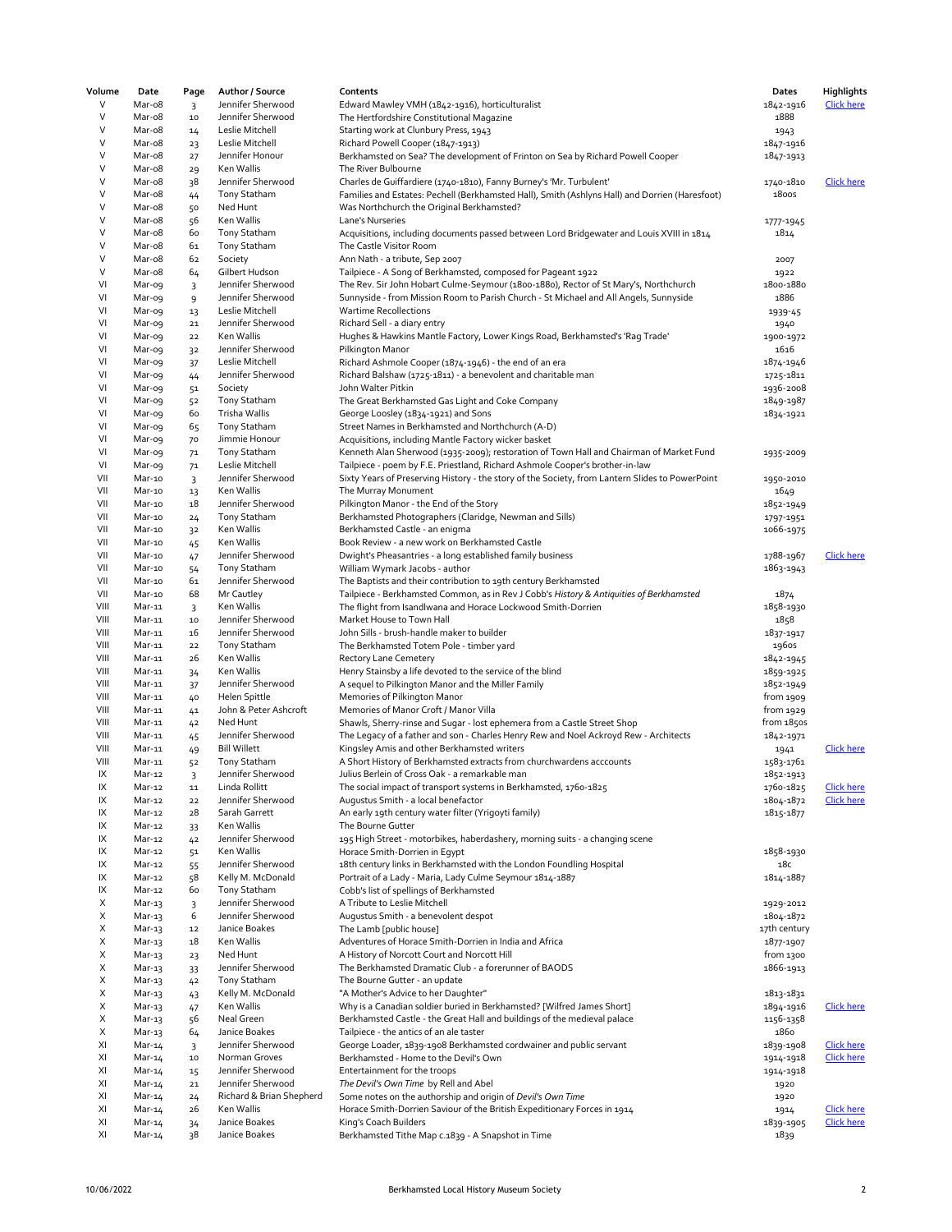| Volume | Date   | Page           | Author / Source          | Contents                                                                                        | Dates        | <b>Highlights</b> |
|--------|--------|----------------|--------------------------|-------------------------------------------------------------------------------------------------|--------------|-------------------|
| V      | Mar-o8 | 3              | Jennifer Sherwood        | Edward Mawley VMH (1842-1916), horticulturalist                                                 | 1842-1916    | <b>Click here</b> |
| V      | Mar-o8 | $10$           | Jennifer Sherwood        | The Hertfordshire Constitutional Magazine                                                       | 1888         |                   |
| V      | Mar-o8 | 14             | Leslie Mitchell          | Starting work at Clunbury Press, 1943                                                           | 1943         |                   |
| V      | Mar-o8 | 23             | Leslie Mitchell          | Richard Powell Cooper (1847-1913)                                                               | 1847-1916    |                   |
| V      | Mar-o8 | 27             | Jennifer Honour          | Berkhamsted on Sea? The development of Frinton on Sea by Richard Powell Cooper                  | 1847-1913    |                   |
| V      | Mar-o8 | 29             | Ken Wallis               | The River Bulbourne                                                                             |              |                   |
| V      | Mar-o8 | 38             | Jennifer Sherwood        | Charles de Guiffardiere (1740-1810), Fanny Burney's 'Mr. Turbulent'                             | 1740-1810    | <b>Click here</b> |
| V      | Mar-o8 |                | Tony Statham             |                                                                                                 | <b>1800s</b> |                   |
| V      |        | 44             |                          | Families and Estates: Pechell (Berkhamsted Hall), Smith (Ashlyns Hall) and Dorrien (Haresfoot)  |              |                   |
|        | Mar-o8 | 50             | Ned Hunt                 | Was Northchurch the Original Berkhamsted?                                                       |              |                   |
| V      | Mar-o8 | 56             | Ken Wallis               | Lane's Nurseries                                                                                | 1777-1945    |                   |
| V      | Mar-o8 | 60             | Tony Statham             | Acquisitions, including documents passed between Lord Bridgewater and Louis XVIII in 1814       | 1814         |                   |
| V      | Mar-o8 | 61             | Tony Statham             | The Castle Visitor Room                                                                         |              |                   |
| V      | Mar-o8 | 62             | Society                  | Ann Nath - a tribute, Sep 2007                                                                  | 2007         |                   |
| V      | Mar-o8 | 64             | Gilbert Hudson           | Tailpiece - A Song of Berkhamsted, composed for Pageant 1922                                    | 1922         |                   |
| VI     | Mar-og | 3              | Jennifer Sherwood        | The Rev. Sir John Hobart Culme-Seymour (1800-1880), Rector of St Mary's, Northchurch            | 1800-1880    |                   |
| VI     | Mar-o9 | 9              | Jennifer Sherwood        | Sunnyside - from Mission Room to Parish Church - St Michael and All Angels, Sunnyside           | 1886         |                   |
| VI     | Mar-og | 13             | Leslie Mitchell          | <b>Wartime Recollections</b>                                                                    | 1939-45      |                   |
| VI     | Mar-og | ${\bf 21}$     | Jennifer Sherwood        | Richard Sell - a diary entry                                                                    | 1940         |                   |
| VI     | Mar-o9 | 22             | Ken Wallis               | Hughes & Hawkins Mantle Factory, Lower Kings Road, Berkhamsted's 'Rag Trade'                    | 1900-1972    |                   |
| VI     | Mar-o9 | 32             | Jennifer Sherwood        | Pilkington Manor                                                                                | 1616         |                   |
| VI     | Mar-o9 | 37             | Leslie Mitchell          | Richard Ashmole Cooper (1874-1946) - the end of an era                                          | 1874-1946    |                   |
| VI     | Mar-o9 |                | Jennifer Sherwood        | Richard Balshaw (1725-1811) - a benevolent and charitable man                                   | 1725-1811    |                   |
|        |        | 44             |                          | John Walter Pitkin                                                                              |              |                   |
| VI     | Mar-og | 51             | Society                  |                                                                                                 | 1936-2008    |                   |
| VI     | Mar-o9 | 52             | Tony Statham             | The Great Berkhamsted Gas Light and Coke Company                                                | 1849-1987    |                   |
| VI     | Mar-o9 | 60             | Trisha Wallis            | George Loosley (1834-1921) and Sons                                                             | 1834-1921    |                   |
| VI     | Mar-o9 | 65             | Tony Statham             | Street Names in Berkhamsted and Northchurch (A-D)                                               |              |                   |
| VI     | Mar-o9 | 70             | Jimmie Honour            | Acquisitions, including Mantle Factory wicker basket                                            |              |                   |
| VI     | Mar-o9 | 71             | Tony Statham             | Kenneth Alan Sherwood (1935-2009); restoration of Town Hall and Chairman of Market Fund         | 1935-2009    |                   |
| VI     | Mar-o9 | 7 <sup>1</sup> | Leslie Mitchell          | Tailpiece - poem by F.E. Priestland, Richard Ashmole Cooper's brother-in-law                    |              |                   |
| VII    | Mar-10 | $\overline{3}$ | Jennifer Sherwood        | Sixty Years of Preserving History - the story of the Society, from Lantern Slides to PowerPoint | 1950-2010    |                   |
| VII    | Mar-10 | 13             | Ken Wallis               | The Murray Monument                                                                             | 1649         |                   |
| VII    | Mar-10 | 18             | Jennifer Sherwood        | Pilkington Manor - the End of the Story                                                         | 1852-1949    |                   |
| VII    | Mar-10 | 24             | Tony Statham             | Berkhamsted Photographers (Claridge, Newman and Sills)                                          | 1797-1951    |                   |
| VII    | Mar-10 | 32             | Ken Wallis               | Berkhamsted Castle - an enigma                                                                  | 1066-1975    |                   |
| VII    | Mar-10 | 45             | Ken Wallis               | Book Review - a new work on Berkhamsted Castle                                                  |              |                   |
| VII    | Mar-10 |                | Jennifer Sherwood        |                                                                                                 |              | Click here        |
|        |        | 47             |                          | Dwight's Pheasantries - a long established family business                                      | 1788-1967    |                   |
| VII    | Mar-10 | 54             | <b>Tony Statham</b>      | William Wymark Jacobs - author                                                                  | 1863-1943    |                   |
| VII    | Mar-10 | 61             | Jennifer Sherwood        | The Baptists and their contribution to 19th century Berkhamsted                                 |              |                   |
| VII    | Mar-10 | 68             | Mr Cautley               | Tailpiece - Berkhamsted Common, as in Rev J Cobb's History & Antiquities of Berkhamsted         | 1874         |                   |
| VIII   | Mar-11 | $\overline{3}$ | Ken Wallis               | The flight from Isandlwana and Horace Lockwood Smith-Dorrien                                    | 1858-1930    |                   |
| VIII   | Mar-11 | $10\,$         | Jennifer Sherwood        | Market House to Town Hall                                                                       | 1858         |                   |
| VIII   | Mar-11 | 16             | Jennifer Sherwood        | John Sills - brush-handle maker to builder                                                      | 1837-1917    |                   |
| VIII   | Mar-11 | 22             | <b>Tony Statham</b>      | The Berkhamsted Totem Pole - timber yard                                                        | 1960s        |                   |
| VIII   | Mar-11 | 26             | Ken Wallis               | <b>Rectory Lane Cemetery</b>                                                                    | 1842-1945    |                   |
| VIII   | Mar-11 | 34             | Ken Wallis               | Henry Stainsby a life devoted to the service of the blind                                       | 1859-1925    |                   |
| VIII   | Mar-11 | 37             | Jennifer Sherwood        | A sequel to Pilkington Manor and the Miller Family                                              | 1852-1949    |                   |
| VIII   | Mar-11 | 40             | Helen Spittle            | Memories of Pilkington Manor                                                                    | from 1909    |                   |
| VIII   | Mar-11 | 41             | John & Peter Ashcroft    | Memories of Manor Croft / Manor Villa                                                           | from 1929    |                   |
| VIII   | Mar-11 | 42             | Ned Hunt                 | Shawls, Sherry-rinse and Sugar - lost ephemera from a Castle Street Shop                        | from 1850s   |                   |
| VIII   | Mar-11 |                | Jennifer Sherwood        | The Legacy of a father and son - Charles Henry Rew and Noel Ackroyd Rew - Architects            | 1842-1971    |                   |
| VIII   | Mar-11 | 45             | <b>Bill Willett</b>      | Kingsley Amis and other Berkhamsted writers                                                     |              | <b>Click here</b> |
|        | Mar-11 | 49             |                          |                                                                                                 | 1941         |                   |
| VIII   |        | 52             | Tony Statham             | A Short History of Berkhamsted extracts from churchwardens acccounts                            | 1583-1761    |                   |
| IX     | Mar-12 | $\overline{3}$ | Jennifer Sherwood        | Julius Berlein of Cross Oak - a remarkable man                                                  | 1852-1913    |                   |
| IX     | Mar-12 | 11             | Linda Rollitt            | The social impact of transport systems in Berkhamsted, 1760-1825                                | 1760-1825    | <u>Click here</u> |
| IX     | Mar-12 | 22             | Jennifer Sherwood        | Augustus Smith - a local benefactor                                                             | 1804-1872    | <b>Click here</b> |
| IX     | Mar-12 | 28             | Sarah Garrett            | An early 19th century water filter (Yrigoyti family)                                            | 1815-1877    |                   |
| IX     | Mar-12 | 33             | Ken Wallis               | The Bourne Gutter                                                                               |              |                   |
| IX     | Mar-12 | 42             | Jennifer Sherwood        | 195 High Street - motorbikes, haberdashery, morning suits - a changing scene                    |              |                   |
| IX     | Mar-12 | 51             | Ken Wallis               | Horace Smith-Dorrien in Egypt                                                                   | 1858-1930    |                   |
| IX     | Mar-12 | 55             | Jennifer Sherwood        | 18th century links in Berkhamsted with the London Foundling Hospital                            | 18с          |                   |
| IX     | Mar-12 | 58             | Kelly M. McDonald        | Portrait of a Lady - Maria, Lady Culme Seymour 1814-1887                                        | 1814-1887    |                   |
| IX     | Mar-12 | 60             | <b>Tony Statham</b>      | Cobb's list of spellings of Berkhamsted                                                         |              |                   |
| X      | Mar-13 | $\overline{3}$ | Jennifer Sherwood        | A Tribute to Leslie Mitchell                                                                    | 1929-2012    |                   |
| X      | Mar-13 | 6              | Jennifer Sherwood        | Augustus Smith - a benevolent despot                                                            | 1804-1872    |                   |
| Х      | Mar-13 | 12             | Janice Boakes            | The Lamb [public house]                                                                         | 17th century |                   |
| Х      | Mar-13 | 18             | Ken Wallis               | Adventures of Horace Smith-Dorrien in India and Africa                                          | 1877-1907    |                   |
| Χ      |        |                | Ned Hunt                 |                                                                                                 | from 1300    |                   |
|        | Mar-13 | 23             |                          | A History of Norcott Court and Norcott Hill                                                     |              |                   |
| Χ      | Mar-13 | 33             | Jennifer Sherwood        | The Berkhamsted Dramatic Club - a forerunner of BAODS                                           | 1866-1913    |                   |
| X      | Mar-13 | 42             | Tony Statham             | The Bourne Gutter - an update                                                                   |              |                   |
| Х      | Mar-13 | 43             | Kelly M. McDonald        | "A Mother's Advice to her Daughter"                                                             | 1813-1831    |                   |
| X      | Mar-13 | 47             | Ken Wallis               | Why is a Canadian soldier buried in Berkhamsted? [Wilfred James Short]                          | 1894-1916    | <b>Click here</b> |
| X      | Mar-13 | 56             | Neal Green               | Berkhamsted Castle - the Great Hall and buildings of the medieval palace                        | 1156-1358    |                   |
| Х      | Mar-13 | 64             | Janice Boakes            | Tailpiece - the antics of an ale taster                                                         | 1860         |                   |
| XI     | Mar-14 | 3              | Jennifer Sherwood        | George Loader, 1839-1908 Berkhamsted cordwainer and public servant                              | 1839-1908    | <b>Click here</b> |
| XI     | Mar-14 | $10\,$         | Norman Groves            | Berkhamsted - Home to the Devil's Own                                                           | 1914-1918    | <b>Click here</b> |
| XI     | Mar-14 | 15             | Jennifer Sherwood        | Entertainment for the troops                                                                    | 1914-1918    |                   |
| XI     | Mar-14 | ${\bf 21}$     | Jennifer Sherwood        | The Devil's Own Time by Rell and Abel                                                           | 1920         |                   |
| XI     | Mar-14 | 24             | Richard & Brian Shepherd | Some notes on the authorship and origin of Devil's Own Time                                     | 1920         |                   |
| XI     | Mar-14 | 26             | Ken Wallis               | Horace Smith-Dorrien Saviour of the British Expeditionary Forces in 1914                        | 1914         | <b>Click here</b> |
| XI     | Mar-14 | 34             | Janice Boakes            | King's Coach Builders                                                                           | 1839-1905    | Click here        |
| XI     |        |                | Janice Boakes            |                                                                                                 |              |                   |
|        | Mar-14 | 38             |                          | Berkhamsted Tithe Map c.1839 - A Snapshot in Time                                               | 1839         |                   |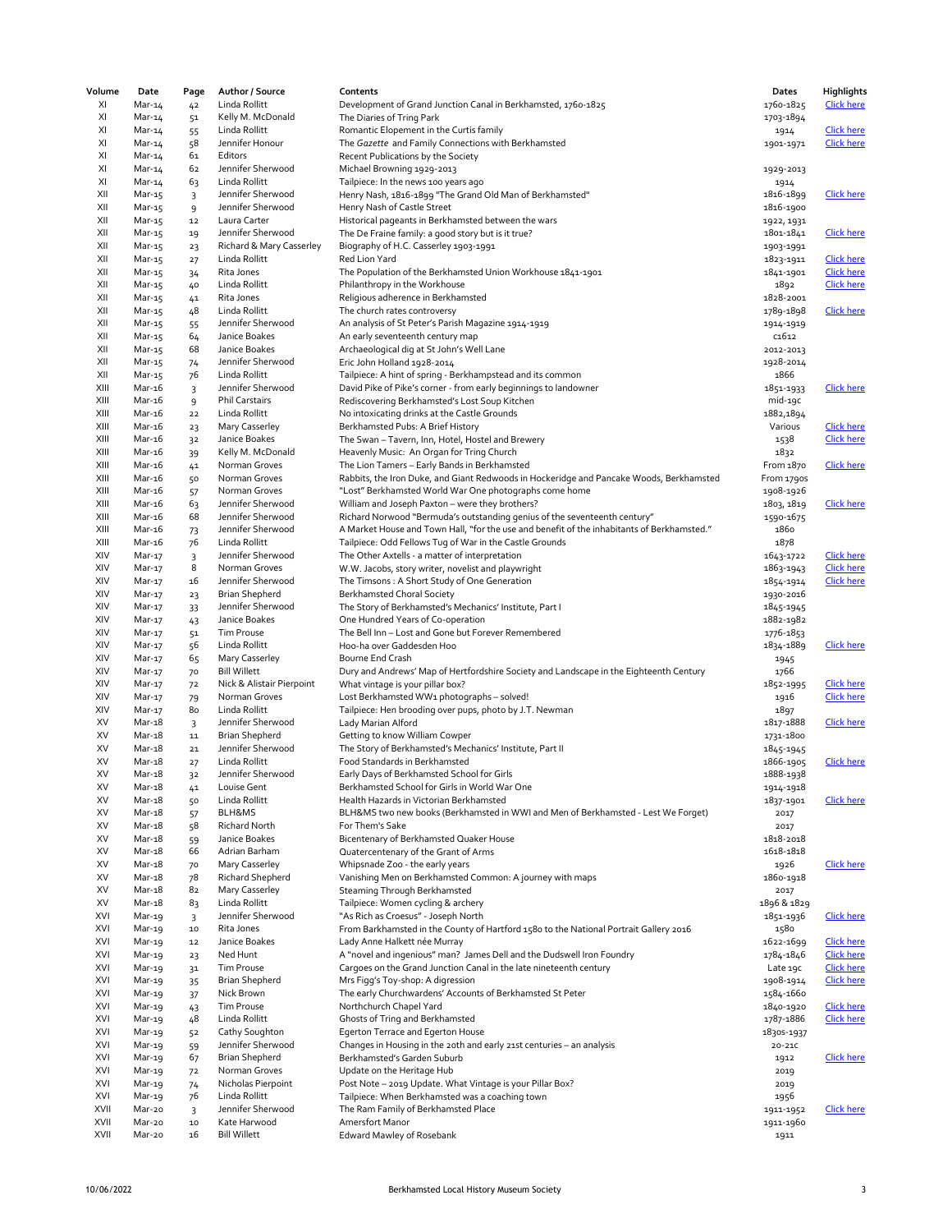| Volume       | Date             | Page           | Author / Source                     | Contents                                                                                                                                                                | Dates                    | Highlights                             |
|--------------|------------------|----------------|-------------------------------------|-------------------------------------------------------------------------------------------------------------------------------------------------------------------------|--------------------------|----------------------------------------|
| XI           | Mar-14           | 42             | Linda Rollitt                       | Development of Grand Junction Canal in Berkhamsted, 1760-1825                                                                                                           | 1760-1825                | <b>Click here</b>                      |
| XI           | Mar-14           | 51             | Kelly M. McDonald                   | The Diaries of Tring Park                                                                                                                                               | 1703-1894                |                                        |
| XI           | Mar-14           | 55             | Linda Rollitt                       | Romantic Elopement in the Curtis family                                                                                                                                 | 1914                     | <b>Click here</b>                      |
| XI           | Mar-14           | 58             | Jennifer Honour                     | The Gazette and Family Connections with Berkhamsted                                                                                                                     | 1901-1971                | <b>Click here</b>                      |
| XI           | Mar-14           | 61             | Editors                             | Recent Publications by the Society                                                                                                                                      |                          |                                        |
| XI           | Mar-14           | 62             | Jennifer Sherwood                   | Michael Browning 1929-2013                                                                                                                                              | 1929-2013                |                                        |
| XI           | Mar-14           | 63             | Linda Rollitt                       | Tailpiece: In the news 100 years ago                                                                                                                                    | 1914                     |                                        |
| XII          | Mar-15           | 3              | Jennifer Sherwood                   | Henry Nash, 1816-1899 "The Grand Old Man of Berkhamsted"                                                                                                                | 1816-1899                | <b>Click here</b>                      |
| XII          | Mar-15           | 9              | Jennifer Sherwood                   | Henry Nash of Castle Street                                                                                                                                             | 1816-1900                |                                        |
| XII          | Mar-15           | 12             | Laura Carter                        | Historical pageants in Berkhamsted between the wars                                                                                                                     | 1922, 1931               |                                        |
| XII          | Mar-15           | 19             | Jennifer Sherwood                   | The De Fraine family: a good story but is it true?                                                                                                                      | 1801-1841                | Click here                             |
| XII          | Mar-15           | 23             | Richard & Mary Casserley            | Biography of H.C. Casserley 1903-1991                                                                                                                                   | 1903-1991                |                                        |
| XII          | Mar-15           | 27             | Linda Rollitt                       | Red Lion Yard                                                                                                                                                           | 1823-1911                | <b>Click here</b>                      |
| XII          | Mar-15           | 34             | Rita Jones                          | The Population of the Berkhamsted Union Workhouse 1841-1901                                                                                                             | 1841-1901                | <b>Click here</b>                      |
| XII          | Mar-15           | 40             | Linda Rollitt                       | Philanthropy in the Workhouse                                                                                                                                           | 1892                     | <b>Click here</b>                      |
| XII          | Mar-15           | 41             | Rita Jones                          | Religious adherence in Berkhamsted                                                                                                                                      | 1828-2001                |                                        |
| XII          | Mar-15           | 48             | Linda Rollitt                       | The church rates controversy                                                                                                                                            | 1789-1898                | <b>Click here</b>                      |
| XII          | Mar-15           | 55             | Jennifer Sherwood                   | An analysis of St Peter's Parish Magazine 1914-1919                                                                                                                     | 1914-1919                |                                        |
| XII          | Mar-15           | 64             | Janice Boakes                       | An early seventeenth century map                                                                                                                                        | c <sub>1612</sub>        |                                        |
| XII          | Mar-15           | 68             | Janice Boakes                       | Archaeological dig at St John's Well Lane                                                                                                                               | 2012-2013                |                                        |
| XII          | Mar-15           | 74             | Jennifer Sherwood                   | Eric John Holland 1928-2014                                                                                                                                             | 1928-2014                |                                        |
| XII          | Mar-15           | 76             | Linda Rollitt                       | Tailpiece: A hint of spring - Berkhampstead and its common                                                                                                              | 1866                     |                                        |
| XIII         | Mar-16           | 3              | Jennifer Sherwood                   | David Pike of Pike's corner - from early beginnings to landowner                                                                                                        | 1851-1933                | <b>Click here</b>                      |
| XIII         | Mar-16           | 9              | Phil Carstairs                      | Rediscovering Berkhamsted's Lost Soup Kitchen                                                                                                                           | mid-19C                  |                                        |
| XIII         | Mar-16           | 22             | Linda Rollitt                       | No intoxicating drinks at the Castle Grounds                                                                                                                            | 1882,1894                |                                        |
| XIII         | Mar-16           | 23             | Mary Casserley                      | Berkhamsted Pubs: A Brief History                                                                                                                                       | Various                  | <b>Click here</b>                      |
| XIII         | Mar-16           | 32             | Janice Boakes                       | The Swan - Tavern, Inn, Hotel, Hostel and Brewery                                                                                                                       | 1538                     | <b>Click here</b>                      |
| XIII         | Mar-16<br>Mar-16 | 39             | Kelly M. McDonald                   | Heavenly Music: An Organ for Tring Church                                                                                                                               | 1832                     |                                        |
| XIII         |                  | 41             | Norman Groves                       | The Lion Tamers - Early Bands in Berkhamsted                                                                                                                            | From 1870                | <b>Click here</b>                      |
| XIII         | Mar-16<br>Mar-16 | 50             | Norman Groves                       | Rabbits, the Iron Duke, and Giant Redwoods in Hockeridge and Pancake Woods, Berkhamsted<br>"Lost" Berkhamsted World War One photographs come home                       | From 1790s               |                                        |
| XIII<br>XIII | Mar-16           | 57             | Norman Groves<br>Jennifer Sherwood  |                                                                                                                                                                         | 1908-1926                | Click here                             |
| XIII         | Mar-16           | 63<br>68       | Jennifer Sherwood                   | William and Joseph Paxton - were they brothers?                                                                                                                         | 1803, 1819               |                                        |
| XIII         | Mar-16           |                | Jennifer Sherwood                   | Richard Norwood "Bermuda's outstanding genius of the seventeenth century"<br>A Market House and Town Hall, "for the use and benefit of the inhabitants of Berkhamsted." | 1590-1675<br>1860        |                                        |
| XIII         | Mar-16           | 73<br>76       | Linda Rollitt                       | Tailpiece: Odd Fellows Tug of War in the Castle Grounds                                                                                                                 | 1878                     |                                        |
| XIV          | Mar-17           | $\overline{3}$ | Jennifer Sherwood                   | The Other Axtells - a matter of interpretation                                                                                                                          | 1643-1722                | <b>Click here</b>                      |
| XIV          | Mar-17           | 8              | Norman Groves                       | W.W. Jacobs, story writer, novelist and playwright                                                                                                                      | 1863-1943                | <b>Click here</b>                      |
| XIV          | Mar-17           | 16             | Jennifer Sherwood                   | The Timsons: A Short Study of One Generation                                                                                                                            | 1854-1914                | <b>Click here</b>                      |
| XIV          | Mar-17           | 23             | <b>Brian Shepherd</b>               | <b>Berkhamsted Choral Society</b>                                                                                                                                       | 1930-2016                |                                        |
| XIV          | Mar-17           | 33             | Jennifer Sherwood                   | The Story of Berkhamsted's Mechanics' Institute, Part I                                                                                                                 | 1845-1945                |                                        |
| XIV          | Mar-17           | 43             | Janice Boakes                       | One Hundred Years of Co-operation                                                                                                                                       | 1882-1982                |                                        |
| XIV          | Mar-17           | 51             | <b>Tim Prouse</b>                   | The Bell Inn - Lost and Gone but Forever Remembered                                                                                                                     | 1776-1853                |                                        |
| XIV          | Mar-17           | 56             | Linda Rollitt                       | Hoo-ha over Gaddesden Hoo                                                                                                                                               | 1834-1889                | <b>Click here</b>                      |
| XIV          | Mar-17           | 65             | Mary Casserley                      | Bourne End Crash                                                                                                                                                        | 1945                     |                                        |
| XIV          | Mar-17           | 70             | <b>Bill Willett</b>                 | Dury and Andrews' Map of Hertfordshire Society and Landscape in the Eighteenth Century                                                                                  | 1766                     |                                        |
| XIV          | Mar-17           | 72             | Nick & Alistair Pierpoint           | What vintage is your pillar box?                                                                                                                                        | 1852-1995                | <b>Click here</b>                      |
| XIV          | Mar-17           | 79             | Norman Groves                       | Lost Berkhamsted WW1 photographs - solved!                                                                                                                              | 1916                     | <b>Click here</b>                      |
| XIV          | Mar-17           | 80             | Linda Rollitt                       | Tailpiece: Hen brooding over pups, photo by J.T. Newman                                                                                                                 | 1897                     |                                        |
| XV           | Mar-18           | $\overline{3}$ | Jennifer Sherwood                   | Lady Marian Alford                                                                                                                                                      | 1817-1888                | <b>Click here</b>                      |
| XV           | Mar-18           | ${\bf 11}$     | <b>Brian Shepherd</b>               | Getting to know William Cowper                                                                                                                                          | 1731-1800                |                                        |
| XV           | Mar-18           | ${\bf 21}$     | Jennifer Sherwood                   | The Story of Berkhamsted's Mechanics' Institute, Part II                                                                                                                | 1845-1945                |                                        |
| XV           | Mar-18           | 27             | Linda Rollitt                       | Food Standards in Berkhamsted                                                                                                                                           | 1866-1905                | <b>Click here</b>                      |
| XV           | Mar-18           | 32             | Jennifer Sherwood                   | Early Days of Berkhamsted School for Girls                                                                                                                              | 1888-1938                |                                        |
| XV           | Mar-18           | 41             | Louise Gent                         | Berkhamsted School for Girls in World War One                                                                                                                           | 1914-1918                |                                        |
| XV           | Mar-18           | 50             | Linda Rollitt                       | Health Hazards in Victorian Berkhamsted                                                                                                                                 | 1837-1901                | Click here                             |
| XV           | Mar-18           | 57             | BLH&MS                              | BLH&MS two new books (Berkhamsted in WWI and Men of Berkhamsted - Lest We Forget)                                                                                       | 2017                     |                                        |
| XV           | Mar-18           | 58             | Richard North                       | For Them's Sake                                                                                                                                                         | 2017                     |                                        |
| XV           | Mar-18           | 59             | Janice Boakes                       | Bicentenary of Berkhamsted Quaker House                                                                                                                                 | 1818-2018                |                                        |
| XV           | Mar-18           | 66             | Adrian Barham                       | Quatercentenary of the Grant of Arms                                                                                                                                    | 1618-1818                |                                        |
| XV           | $Mar-18$         | 70             | Mary Casserley                      | Whipsnade Zoo - the early years                                                                                                                                         | 1926                     | <b>Click here</b>                      |
| XV           | Mar-18           | 78             | Richard Shepherd                    | Vanishing Men on Berkhamsted Common: A journey with maps                                                                                                                | 1860-1918                |                                        |
| XV           | Mar-18           | 82             | Mary Casserley                      | Steaming Through Berkhamsted                                                                                                                                            | 2017                     |                                        |
| XV           | Mar-18           | 83             | Linda Rollitt                       | Tailpiece: Women cycling & archery                                                                                                                                      | 1896 & 1829              |                                        |
| XVI          | Mar-19           | 3              | Jennifer Sherwood                   | "As Rich as Croesus" - Joseph North                                                                                                                                     | 1851-1936                | <b>Click here</b>                      |
| XVI          | Mar-19           | $10$           | Rita Jones                          | From Barkhamsted in the County of Hartford 1580 to the National Portrait Gallery 2016                                                                                   | 1580                     |                                        |
| XVI<br>XVI   | Mar-19           | ${\bf 12}$     | Janice Boakes                       | Lady Anne Halkett née Murray                                                                                                                                            | 1622-1699                | <b>Click here</b>                      |
|              | Mar-19           | 23             | Ned Hunt                            | A "novel and ingenious" man? James Dell and the Dudswell Iron Foundry                                                                                                   | 1784-1846                | <b>Click here</b>                      |
| XVI<br>XVI   | Mar-19           | 31             | <b>Tim Prouse</b>                   | Cargoes on the Grand Junction Canal in the late nineteenth century<br>Mrs Figg's Toy-shop: A digression                                                                 | Late 19C                 | <b>Click here</b><br><b>Click here</b> |
| XVI          | Mar-19<br>Mar-19 | 35             | Brian Shepherd<br>Nick Brown        |                                                                                                                                                                         | 1908-1914<br>1584-1660   |                                        |
| XVI          |                  | 37             | <b>Tim Prouse</b>                   | The early Churchwardens' Accounts of Berkhamsted St Peter                                                                                                               |                          | <b>Click here</b>                      |
| XVI          | Mar-19           | 43             | Linda Rollitt                       | Northchurch Chapel Yard<br>Ghosts of Tring and Berkhamsted                                                                                                              | 1840-1920<br>1787-1886   | <b>Click here</b>                      |
| XVI          | Mar-19           | 48             |                                     |                                                                                                                                                                         |                          |                                        |
| XVI          | Mar-19<br>Mar-19 | 52             | Cathy Soughton<br>Jennifer Sherwood | Egerton Terrace and Egerton House<br>Changes in Housing in the 20th and early 21st centuries - an analysis                                                              | 18305-1937<br>$20 - 21C$ |                                        |
| XVI          | Mar-19           | 59<br>67       | <b>Brian Shepherd</b>               | Berkhamsted's Garden Suburb                                                                                                                                             | 1912                     | <b>Click here</b>                      |
| XVI          | Mar-19           | 72             | Norman Groves                       | Update on the Heritage Hub                                                                                                                                              | 2019                     |                                        |
| XVI          | Mar-19           | 74             | Nicholas Pierpoint                  | Post Note - 2019 Update. What Vintage is your Pillar Box?                                                                                                               | 2019                     |                                        |
| XVI          | Mar-19           | 76             | Linda Rollitt                       | Tailpiece: When Berkhamsted was a coaching town                                                                                                                         | 1956                     |                                        |
| XVII         | Mar-20           | 3              | Jennifer Sherwood                   | The Ram Family of Berkhamsted Place                                                                                                                                     | 1911-1952                | <b>Click here</b>                      |
| XVII         | Mar-20           | $10\,$         | Kate Harwood                        | Amersfort Manor                                                                                                                                                         | 1911-1960                |                                        |
| XVII         | Mar-20           | 16             | <b>Bill Willett</b>                 | Edward Mawley of Rosebank                                                                                                                                               | 1911                     |                                        |
|              |                  |                |                                     |                                                                                                                                                                         |                          |                                        |